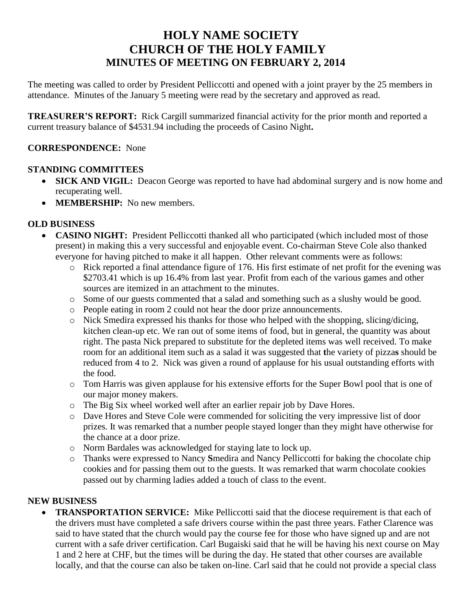# **HOLY NAME SOCIETY CHURCH OF THE HOLY FAMILY MINUTES OF MEETING ON FEBRUARY 2, 2014**

The meeting was called to order by President Pelliccotti and opened with a joint prayer by the 25 members in attendance. Minutes of the January 5 meeting were read by the secretary and approved as read.

**TREASURER'S REPORT:** Rick Cargill summarized financial activity for the prior month and reported a current treasury balance of \$4531.94 including the proceeds of Casino Night**.**

## **CORRESPONDENCE:** None

## **STANDING COMMITTEES**

- **SICK AND VIGIL:** Deacon George was reported to have had abdominal surgery and is now home and recuperating well.
- **MEMBERSHIP:** No new members.

## **OLD BUSINESS**

- **CASINO NIGHT:** President Pelliccotti thanked all who participated (which included most of those present) in making this a very successful and enjoyable event. Co-chairman Steve Cole also thanked everyone for having pitched to make it all happen. Other relevant comments were as follows:
	- o Rick reported a final attendance figure of 176. His first estimate of net profit for the evening was \$2703.41 which is up 16.4% from last year. Profit from each of the various games and other sources are itemized in an attachment to the minutes.
	- o Some of our guests commented that a salad and something such as a slushy would be good.
	- o People eating in room 2 could not hear the door prize announcements.
	- o Nick Smedira expressed his thanks for those who helped with the shopping, slicing/dicing, kitchen clean-up etc. We ran out of some items of food, but in general, the quantity was about right. The pasta Nick prepared to substitute for the depleted items was well received. To make room for an additional item such as a salad it was suggested that **t**he variety of pizza**s** should be reduced from 4 to 2. Nick was given a round of applause for his usual outstanding efforts with the food.
	- o Tom Harris was given applause for his extensive efforts for the Super Bowl pool that is one of our major money makers.
	- o The Big Six wheel worked well after an earlier repair job by Dave Hores.
	- o Dave Hores and Steve Cole were commended for soliciting the very impressive list of door prizes. It was remarked that a number people stayed longer than they might have otherwise for the chance at a door prize.
	- o Norm Bardales was acknowledged for staying late to lock up.
	- o Thanks were expressed to Nancy **S**medira and Nancy Pelliccotti for baking the chocolate chip cookies and for passing them out to the guests. It was remarked that warm chocolate cookies passed out by charming ladies added a touch of class to the event.

#### **NEW BUSINESS**

• **TRANSPORTATION SERVICE:** Mike Pelliccotti said that the diocese requirement is that each of the drivers must have completed a safe drivers course within the past three years. Father Clarence was said to have stated that the church would pay the course fee for those who have signed up and are not current with a safe driver certification. Carl Bugaiski said that he will be having his next course on May 1 and 2 here at CHF, but the times will be during the day. He stated that other courses are available locally, and that the course can also be taken on-line. Carl said that he could not provide a special class